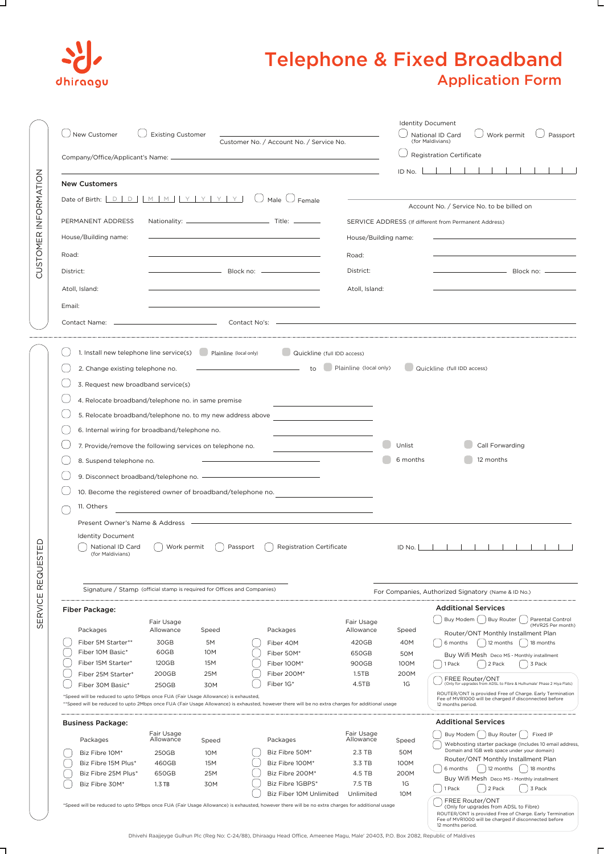

 $\overline{\phantom{a}}$ 

┑

## Application Form Telephone & Fixed Broadband

L

г

|                      |                                                                                                                                                                                                                                                                                                                     |                                                                 |                                                                      |                 |                                             |                                                                                                                                                |                          |                                                                 | <b>Identity Document</b>                                                                                                               |  |  |  |  |  |
|----------------------|---------------------------------------------------------------------------------------------------------------------------------------------------------------------------------------------------------------------------------------------------------------------------------------------------------------------|-----------------------------------------------------------------|----------------------------------------------------------------------|-----------------|---------------------------------------------|------------------------------------------------------------------------------------------------------------------------------------------------|--------------------------|-----------------------------------------------------------------|----------------------------------------------------------------------------------------------------------------------------------------|--|--|--|--|--|
|                      |                                                                                                                                                                                                                                                                                                                     | New Customer                                                    | <b>Existing Customer</b><br>Customer No. / Account No. / Service No. |                 |                                             |                                                                                                                                                |                          | Work permit<br>Passport<br>National ID Card<br>(for Maldivians) |                                                                                                                                        |  |  |  |  |  |
|                      |                                                                                                                                                                                                                                                                                                                     | Company/Office/Applicant's Name: -                              |                                                                      |                 |                                             |                                                                                                                                                |                          |                                                                 | <b>Registration Certificate</b>                                                                                                        |  |  |  |  |  |
|                      |                                                                                                                                                                                                                                                                                                                     |                                                                 |                                                                      |                 |                                             |                                                                                                                                                |                          | ID No. $\lfloor$                                                | .                                                                                                                                      |  |  |  |  |  |
|                      | <b>New Customers</b>                                                                                                                                                                                                                                                                                                |                                                                 |                                                                      |                 |                                             |                                                                                                                                                |                          |                                                                 |                                                                                                                                        |  |  |  |  |  |
| CUSTOMER INFORMATION |                                                                                                                                                                                                                                                                                                                     |                                                                 |                                                                      |                 |                                             |                                                                                                                                                |                          |                                                                 | Account No. / Service No. to be billed on                                                                                              |  |  |  |  |  |
|                      |                                                                                                                                                                                                                                                                                                                     | PERMANENT ADDRESS                                               |                                                                      |                 |                                             |                                                                                                                                                |                          |                                                                 | SERVICE ADDRESS (If different from Permanent Address)                                                                                  |  |  |  |  |  |
|                      | House/Building name:<br>Road:<br>District:<br>Atoll, Island:<br>Email:<br>Contact Name: -                                                                                                                                                                                                                           |                                                                 |                                                                      |                 |                                             |                                                                                                                                                | House/Building name:     |                                                                 |                                                                                                                                        |  |  |  |  |  |
|                      |                                                                                                                                                                                                                                                                                                                     |                                                                 |                                                                      |                 |                                             |                                                                                                                                                | Road:                    |                                                                 |                                                                                                                                        |  |  |  |  |  |
|                      |                                                                                                                                                                                                                                                                                                                     |                                                                 | Block no:                                                            |                 |                                             |                                                                                                                                                | District:<br>Block no: — |                                                                 |                                                                                                                                        |  |  |  |  |  |
|                      |                                                                                                                                                                                                                                                                                                                     |                                                                 |                                                                      |                 |                                             |                                                                                                                                                |                          |                                                                 |                                                                                                                                        |  |  |  |  |  |
|                      |                                                                                                                                                                                                                                                                                                                     |                                                                 |                                                                      |                 |                                             |                                                                                                                                                | Atoll, Island:           |                                                                 |                                                                                                                                        |  |  |  |  |  |
|                      |                                                                                                                                                                                                                                                                                                                     |                                                                 |                                                                      |                 |                                             |                                                                                                                                                |                          |                                                                 |                                                                                                                                        |  |  |  |  |  |
|                      |                                                                                                                                                                                                                                                                                                                     |                                                                 |                                                                      | Contact No's: - |                                             |                                                                                                                                                |                          |                                                                 |                                                                                                                                        |  |  |  |  |  |
|                      |                                                                                                                                                                                                                                                                                                                     | 1. Install new telephone line service(s) Plainline (local only) |                                                                      |                 |                                             | Quickline (full IDD access)                                                                                                                    |                          |                                                                 |                                                                                                                                        |  |  |  |  |  |
|                      |                                                                                                                                                                                                                                                                                                                     | 2. Change existing telephone no.                                |                                                                      |                 |                                             | to                                                                                                                                             | Plainline (local only)   |                                                                 | Quickline (full IDD access)                                                                                                            |  |  |  |  |  |
|                      |                                                                                                                                                                                                                                                                                                                     |                                                                 |                                                                      |                 |                                             |                                                                                                                                                |                          |                                                                 |                                                                                                                                        |  |  |  |  |  |
|                      |                                                                                                                                                                                                                                                                                                                     | 3. Request new broadband service(s)                             |                                                                      |                 |                                             |                                                                                                                                                |                          |                                                                 |                                                                                                                                        |  |  |  |  |  |
|                      |                                                                                                                                                                                                                                                                                                                     | 4. Relocate broadband/telephone no. in same premise             |                                                                      |                 |                                             |                                                                                                                                                |                          |                                                                 |                                                                                                                                        |  |  |  |  |  |
|                      |                                                                                                                                                                                                                                                                                                                     | 5. Relocate broadband/telephone no. to my new address above     |                                                                      |                 |                                             |                                                                                                                                                |                          |                                                                 |                                                                                                                                        |  |  |  |  |  |
|                      |                                                                                                                                                                                                                                                                                                                     | 6. Internal wiring for broadband/telephone no.                  |                                                                      |                 |                                             |                                                                                                                                                |                          |                                                                 |                                                                                                                                        |  |  |  |  |  |
|                      |                                                                                                                                                                                                                                                                                                                     | 7. Provide/remove the following services on telephone no.       |                                                                      |                 |                                             |                                                                                                                                                |                          | Unlist                                                          | Call Forwarding                                                                                                                        |  |  |  |  |  |
|                      |                                                                                                                                                                                                                                                                                                                     | 8. Suspend telephone no.                                        |                                                                      |                 |                                             |                                                                                                                                                |                          | 6 months                                                        | 12 months                                                                                                                              |  |  |  |  |  |
|                      |                                                                                                                                                                                                                                                                                                                     |                                                                 |                                                                      |                 |                                             |                                                                                                                                                |                          |                                                                 |                                                                                                                                        |  |  |  |  |  |
|                      |                                                                                                                                                                                                                                                                                                                     | 10. Become the registered owner of broadband/telephone no.      |                                                                      |                 |                                             |                                                                                                                                                |                          |                                                                 |                                                                                                                                        |  |  |  |  |  |
|                      |                                                                                                                                                                                                                                                                                                                     | 11. Others                                                      |                                                                      |                 |                                             |                                                                                                                                                |                          |                                                                 |                                                                                                                                        |  |  |  |  |  |
|                      | Present Owner's Name & Address -                                                                                                                                                                                                                                                                                    |                                                                 |                                                                      |                 |                                             |                                                                                                                                                |                          |                                                                 |                                                                                                                                        |  |  |  |  |  |
|                      |                                                                                                                                                                                                                                                                                                                     | <b>Identity Document</b>                                        |                                                                      |                 |                                             |                                                                                                                                                |                          |                                                                 |                                                                                                                                        |  |  |  |  |  |
| 읍<br><b>UEST</b>     | National ID Card<br>Work permit<br>(for Maldivians)                                                                                                                                                                                                                                                                 |                                                                 |                                                                      |                 | Passport<br><b>Registration Certificate</b> |                                                                                                                                                |                          | $ID$ No.                                                        |                                                                                                                                        |  |  |  |  |  |
| REQ                  | Signature / Stamp (official stamp is required for Offices and Companies)                                                                                                                                                                                                                                            |                                                                 |                                                                      |                 |                                             |                                                                                                                                                |                          |                                                                 | For Companies, Authorized Signatory (Name & ID No.)                                                                                    |  |  |  |  |  |
| <b>SERVICE</b>       |                                                                                                                                                                                                                                                                                                                     | <b>Fiber Package:</b>                                           |                                                                      |                 |                                             |                                                                                                                                                |                          |                                                                 | <b>Additional Services</b>                                                                                                             |  |  |  |  |  |
|                      |                                                                                                                                                                                                                                                                                                                     |                                                                 | Fair Usage                                                           |                 |                                             |                                                                                                                                                | Fair Usage               |                                                                 | Buy Modem [ ]<br><b>Buy Router</b><br>Parental Control<br>(MVR25 Per month)                                                            |  |  |  |  |  |
|                      |                                                                                                                                                                                                                                                                                                                     | Packages                                                        | Allowance                                                            | Speed           |                                             | Packages                                                                                                                                       | Allowance                | Speed                                                           | Router/ONT Monthly Installment Plan                                                                                                    |  |  |  |  |  |
|                      |                                                                                                                                                                                                                                                                                                                     | Fiber 5M Starter**<br>Fiber 10M Basic*                          | 30GB<br>60GB                                                         | 5M<br>10M       |                                             | Fiber 40M<br>Fiber 50M*                                                                                                                        | 420GB<br>650GB           | 40M<br>50M                                                      | 6 months<br>12 months<br>18 months                                                                                                     |  |  |  |  |  |
|                      |                                                                                                                                                                                                                                                                                                                     | Fiber 15M Starter*                                              | 120GB                                                                | 15M             |                                             | Fiber 100M*                                                                                                                                    | 900GB                    | 100M                                                            | Buy Wifi Mesh Deco M5 - Monthly installment<br>1 Pack<br>2 Pack<br>3 Pack                                                              |  |  |  |  |  |
|                      |                                                                                                                                                                                                                                                                                                                     | Fiber 25M Starter*                                              | 200GB                                                                | 25M             |                                             | Fiber 200M*                                                                                                                                    | 1.5TB                    | 200M                                                            | <b>FREE Router/ONT</b>                                                                                                                 |  |  |  |  |  |
|                      |                                                                                                                                                                                                                                                                                                                     | Fiber 30M Basic*                                                | 250GB                                                                | 30M             |                                             | Fiber 1G*                                                                                                                                      | 4.5TB                    | 1G                                                              | (Only for upgrades from ADSL to Fibre & Hulhumale' Phase 2 Hiya Flats)<br>ROUTER/ONT is provided Free of Charge. Early Termination     |  |  |  |  |  |
|                      | *Speed will be reduced to upto 5Mbps once FUA (Fair Usage Allowance) is exhausted,<br>Fee of MVR1000 will be charged if disconnected before<br>**Speed will be reduced to upto 2Mbps once FUA (Fair Usage Allowance) is exhausted, however there will be no extra charges for additional usage<br>12 months period. |                                                                 |                                                                      |                 |                                             |                                                                                                                                                |                          |                                                                 |                                                                                                                                        |  |  |  |  |  |
|                      |                                                                                                                                                                                                                                                                                                                     | <b>Business Package:</b>                                        |                                                                      |                 |                                             |                                                                                                                                                |                          |                                                                 | <b>Additional Services</b>                                                                                                             |  |  |  |  |  |
|                      |                                                                                                                                                                                                                                                                                                                     | Packages                                                        | Fair Usage<br>Allowance                                              | Speed           |                                             | Packages                                                                                                                                       | Fair Usage<br>Allowance  | Speed                                                           | Buy Modem<br><b>Buy Router</b><br>Fixed IP<br>Webhosting starter package (Includes 10 email address                                    |  |  |  |  |  |
|                      |                                                                                                                                                                                                                                                                                                                     | Biz Fibre 10M*                                                  | 250GB                                                                | 10 <sub>M</sub> |                                             | Biz Fibre 50M*                                                                                                                                 | 2.3 TB                   | 50M                                                             | Domain and IGB web space under your domain)                                                                                            |  |  |  |  |  |
|                      |                                                                                                                                                                                                                                                                                                                     | Biz Fibre 15M Plus*                                             | 460GB                                                                | 15M             |                                             | Biz Fibre 100M*                                                                                                                                | 3.3 TB                   | 100M                                                            | Router/ONT Monthly Installment Plan<br>12 months<br>18 months<br>6 months                                                              |  |  |  |  |  |
|                      |                                                                                                                                                                                                                                                                                                                     | Biz Fibre 25M Plus*                                             | 650GB                                                                | 25M             |                                             | Biz Fibre 200M*                                                                                                                                | 4.5 TB                   | 200M                                                            | Buy Wifi Mesh Deco M5 - Monthly installment                                                                                            |  |  |  |  |  |
|                      |                                                                                                                                                                                                                                                                                                                     | Biz Fibre 30M*                                                  | 1.3 TB                                                               | 30M             |                                             | Biz Fibre 1GBPS*<br>Biz Fiber 10M Unlimited                                                                                                    | 7.5 TB<br>Unlimited      | 1G<br>10M                                                       | 1 Pack<br>2 Pack<br>3 Pack                                                                                                             |  |  |  |  |  |
|                      |                                                                                                                                                                                                                                                                                                                     |                                                                 |                                                                      |                 |                                             | *Speed will be reduced to upto 5Mbps once FUA (Fair Usage Allowance) is exhausted, however there will be no extra charges for additional usage |                          |                                                                 | FREE Router/ONT<br>(Only for upgrades from ADSL to Fibre)                                                                              |  |  |  |  |  |
|                      |                                                                                                                                                                                                                                                                                                                     |                                                                 |                                                                      |                 |                                             |                                                                                                                                                |                          |                                                                 | ROUTER/ONT is provided Free of Charge. Early Termination<br>Fee of MVR1000 will be charged if disconnected before<br>12 months period. |  |  |  |  |  |